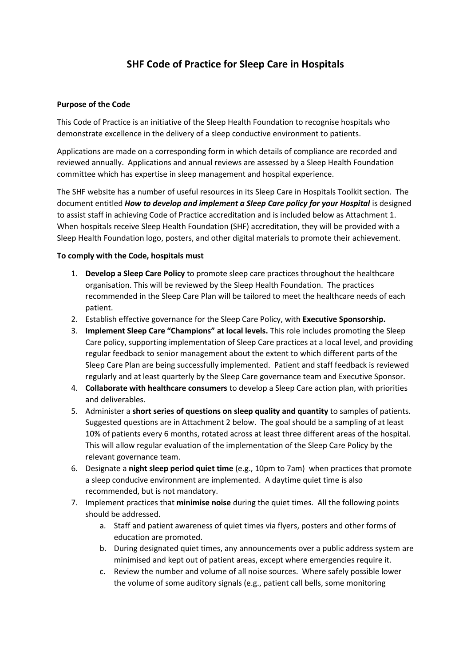# **SHF Code of Practice for Sleep Care in Hospitals**

### **Purpose of the Code**

This Code of Practice is an initiative of the Sleep Health Foundation to recognise hospitals who demonstrate excellence in the delivery of a sleep conductive environment to patients.

Applications are made on a corresponding form in which details of compliance are recorded and reviewed annually. Applications and annual reviews are assessed by a Sleep Health Foundation committee which has expertise in sleep management and hospital experience.

The SHF website has a number of useful resources in its Sleep Care in Hospitals Toolkit section. The document entitled *How to develop and implement a Sleep Care policy for your Hospital* is designed to assist staff in achieving Code of Practice accreditation and is included below as Attachment 1. When hospitals receive Sleep Health Foundation (SHF) accreditation, they will be provided with a Sleep Health Foundation logo, posters, and other digital materials to promote their achievement.

#### **To comply with the Code, hospitals must**

- 1. **Develop a Sleep Care Policy** to promote sleep care practices throughout the healthcare organisation. This will be reviewed by the Sleep Health Foundation. The practices recommended in the Sleep Care Plan will be tailored to meet the healthcare needs of each patient.
- 2. Establish effective governance for the Sleep Care Policy, with **Executive Sponsorship.**
- 3. **Implement Sleep Care "Champions" at local levels.** This role includes promoting the Sleep Care policy, supporting implementation of Sleep Care practices at a local level, and providing regular feedback to senior management about the extent to which different parts of the Sleep Care Plan are being successfully implemented. Patient and staff feedback is reviewed regularly and at least quarterly by the Sleep Care governance team and Executive Sponsor.
- 4. **Collaborate with healthcare consumers** to develop a Sleep Care action plan, with priorities and deliverables.
- 5. Administer a **short series of questions on sleep quality and quantity** to samples of patients. Suggested questions are in Attachment 2 below. The goal should be a sampling of at least 10% of patients every 6 months, rotated across at least three different areas of the hospital. This will allow regular evaluation of the implementation of the Sleep Care Policy by the relevant governance team.
- 6. Designate a **night sleep period quiet time** (e.g., 10pm to 7am) when practices that promote a sleep conducive environment are implemented. A daytime quiet time is also recommended, but is not mandatory.
- 7. Implement practices that **minimise noise** during the quiet times. All the following points should be addressed.
	- a. Staff and patient awareness of quiet times via flyers, posters and other forms of education are promoted.
	- b. During designated quiet times, any announcements over a public address system are minimised and kept out of patient areas, except where emergencies require it.
	- c. Review the number and volume of all noise sources. Where safely possible lower the volume of some auditory signals (e.g., patient call bells, some monitoring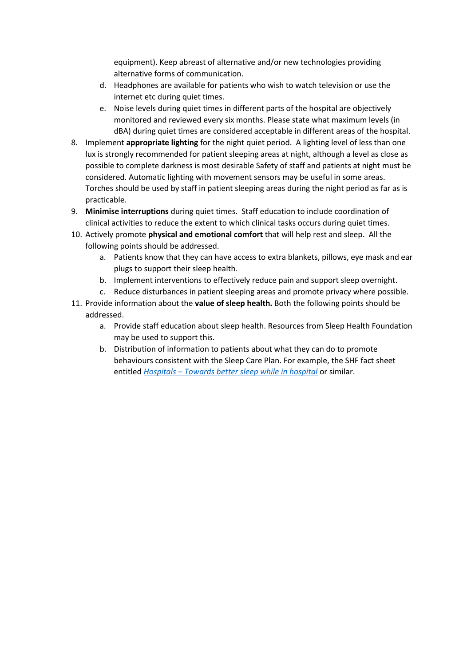equipment). Keep abreast of alternative and/or new technologies providing alternative forms of communication.

- d. Headphones are available for patients who wish to watch television or use the internet etc during quiet times.
- e. Noise levels during quiet times in different parts of the hospital are objectively monitored and reviewed every six months. Please state what maximum levels (in dBA) during quiet times are considered acceptable in different areas of the hospital.
- 8. Implement **appropriate lighting** for the night quiet period. A lighting level of less than one lux is strongly recommended for patient sleeping areas at night, although a level as close as possible to complete darkness is most desirable Safety of staff and patients at night must be considered. Automatic lighting with movement sensors may be useful in some areas. Torches should be used by staff in patient sleeping areas during the night period as far as is practicable.
- 9. **Minimise interruptions** during quiet times. Staff education to include coordination of clinical activities to reduce the extent to which clinical tasks occurs during quiet times.
- 10. Actively promote **physical and emotional comfort** that will help rest and sleep. All the following points should be addressed.
	- a. Patients know that they can have access to extra blankets, pillows, eye mask and ear plugs to support their sleep health.
	- b. Implement interventions to effectively reduce pain and support sleep overnight.
	- c. Reduce disturbances in patient sleeping areas and promote privacy where possible.
- 11. Provide information about the **value of sleep health.** Both the following points should be addressed.
	- a. Provide staff education about sleep health. Resources from Sleep Health Foundation may be used to support this.
	- b. Distribution of information to patients about what they can do to promote behaviours consistent with the Sleep Care Plan. For example, the SHF fact sheet entitled *Hospitals – [Towards better sleep while in hospital](https://www.sleephealthfoundation.org.au/hospitals-towards-better-sleep-while-in-hospital.html)* or similar.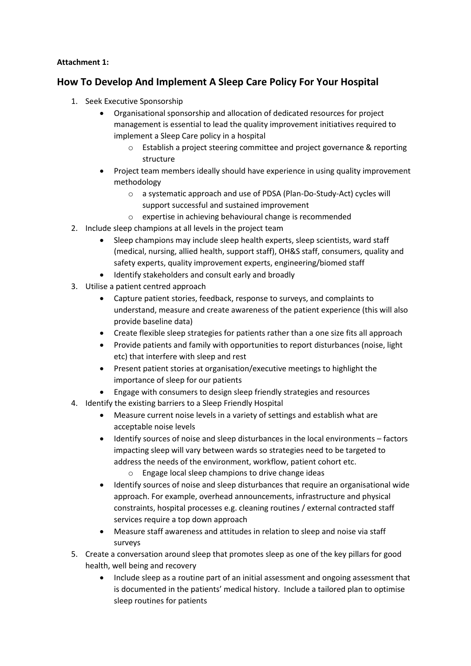## **Attachment 1:**

# **How To Develop And Implement A Sleep Care Policy For Your Hospital**

- 1. Seek Executive Sponsorship
	- Organisational sponsorship and allocation of dedicated resources for project management is essential to lead the quality improvement initiatives required to implement a Sleep Care policy in a hospital
		- o Establish a project steering committee and project governance & reporting structure
	- Project team members ideally should have experience in using quality improvement methodology
		- o a systematic approach and use of PDSA (Plan-Do-Study-Act) cycles will support successful and sustained improvement
		- o expertise in achieving behavioural change is recommended
- 2. Include sleep champions at all levels in the project team
	- Sleep champions may include sleep health experts, sleep scientists, ward staff (medical, nursing, allied health, support staff), OH&S staff, consumers, quality and safety experts, quality improvement experts, engineering/biomed staff
	- Identify stakeholders and consult early and broadly
- 3. Utilise a patient centred approach
	- Capture patient stories, feedback, response to surveys, and complaints to understand, measure and create awareness of the patient experience (this will also provide baseline data)
	- Create flexible sleep strategies for patients rather than a one size fits all approach
	- Provide patients and family with opportunities to report disturbances (noise, light etc) that interfere with sleep and rest
	- Present patient stories at organisation/executive meetings to highlight the importance of sleep for our patients
	- Engage with consumers to design sleep friendly strategies and resources
- 4. Identify the existing barriers to a Sleep Friendly Hospital
	- Measure current noise levels in a variety of settings and establish what are acceptable noise levels
	- Identify sources of noise and sleep disturbances in the local environments factors impacting sleep will vary between wards so strategies need to be targeted to address the needs of the environment, workflow, patient cohort etc.
		- o Engage local sleep champions to drive change ideas
	- Identify sources of noise and sleep disturbances that require an organisational wide approach. For example, overhead announcements, infrastructure and physical constraints, hospital processes e.g. cleaning routines / external contracted staff services require a top down approach
	- Measure staff awareness and attitudes in relation to sleep and noise via staff surveys
- 5. Create a conversation around sleep that promotes sleep as one of the key pillars for good health, well being and recovery
	- Include sleep as a routine part of an initial assessment and ongoing assessment that is documented in the patients' medical history. Include a tailored plan to optimise sleep routines for patients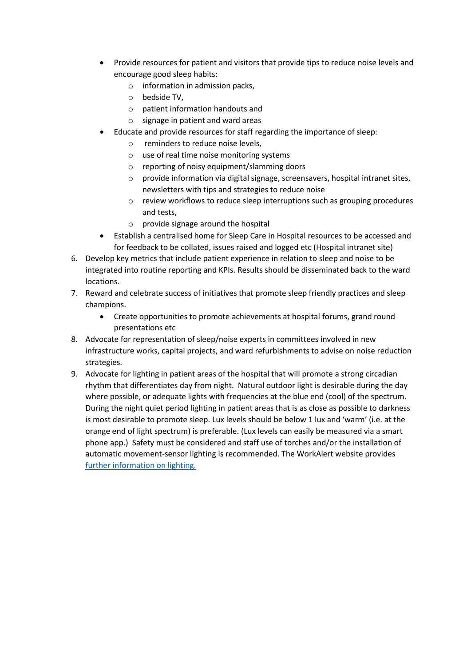- Provide resources for patient and visitors that provide tips to reduce noise levels and encourage good sleep habits:
	- o information in admission packs,
	- o bedside TV,
	- o patient information handouts and
	- o signage in patient and ward areas
- Educate and provide resources for staff regarding the importance of sleep:
	- o reminders to reduce noise levels,
	- o use of real time noise monitoring systems
	- o reporting of noisy equipment/slamming doors
	- $\circ$  provide information via digital signage, screensavers, hospital intranet sites, newsletters with tips and strategies to reduce noise
	- o review workflows to reduce sleep interruptions such as grouping procedures and tests,
	- o provide signage around the hospital
- Establish a centralised home for Sleep Care in Hospital resources to be accessed and for feedback to be collated, issues raised and logged etc (Hospital intranet site)
- 6. Develop key metrics that include patient experience in relation to sleep and noise to be integrated into routine reporting and KPIs. Results should be disseminated back to the ward locations.
- 7. Reward and celebrate success of initiatives that promote sleep friendly practices and sleep champions.
	- Create opportunities to promote achievements at hospital forums, grand round presentations etc
- 8. Advocate for representation of sleep/noise experts in committees involved in new infrastructure works, capital projects, and ward refurbishments to advise on noise reduction strategies.
- 9. Advocate for lighting in patient areas of the hospital that will promote a strong circadian rhythm that differentiates day from night. Natural outdoor light is desirable during the day where possible, or adequate lights with frequencies at the blue end (cool) of the spectrum. During the night quiet period lighting in patient areas that is as close as possible to darkness is most desirable to promote sleep. Lux levels should be below 1 lux and 'warm' (i.e. at the orange end of light spectrum) is preferable. (Lux levels can easily be measured via a smart phone app.) Safety must be considered and staff use of torches and/or the installation of automatic movement-sensor lighting is recommended. The WorkAlert website provides [further information on lighting.](https://www.workalert.org.au/lighting-solutions)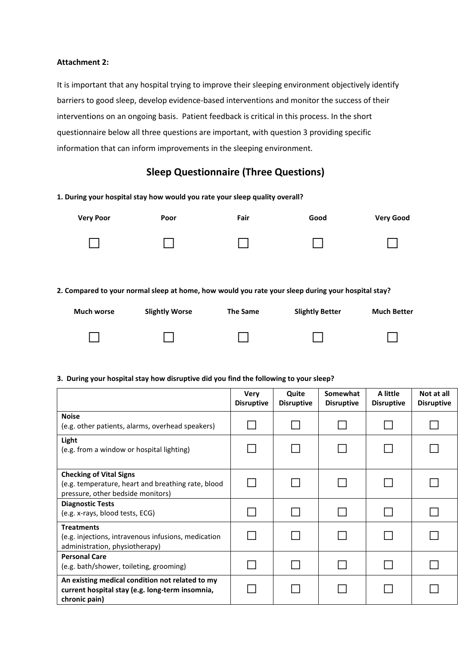#### **Attachment 2:**

It is important that any hospital trying to improve their sleeping environment objectively identify barriers to good sleep, develop evidence-based interventions and monitor the success of their interventions on an ongoing basis. Patient feedback is critical in this process. In the short questionnaire below all three questions are important, with question 3 providing specific information that can inform improvements in the sleeping environment.

# **Sleep Questionnaire (Three Questions)**

| 1. During your hospital stay how would you rate your sleep quality overall?                        |                       |                 |                        |                    |  |  |  |  |
|----------------------------------------------------------------------------------------------------|-----------------------|-----------------|------------------------|--------------------|--|--|--|--|
| <b>Very Poor</b>                                                                                   | Poor                  | Fair            | Good                   | <b>Very Good</b>   |  |  |  |  |
|                                                                                                    |                       |                 |                        |                    |  |  |  |  |
| 2. Compared to your normal sleep at home, how would you rate your sleep during your hospital stay? |                       |                 |                        |                    |  |  |  |  |
| <b>Much worse</b>                                                                                  | <b>Slightly Worse</b> | <b>The Same</b> | <b>Slightly Better</b> | <b>Much Better</b> |  |  |  |  |
|                                                                                                    |                       |                 |                        |                    |  |  |  |  |

### **3. During your hospital stay how disruptive did you find the following to your sleep?**

|                                                                                                                           | <b>Very</b><br><b>Disruptive</b> | Quite<br><b>Disruptive</b> | Somewhat<br><b>Disruptive</b> | A little<br><b>Disruptive</b> | Not at all<br><b>Disruptive</b> |
|---------------------------------------------------------------------------------------------------------------------------|----------------------------------|----------------------------|-------------------------------|-------------------------------|---------------------------------|
| <b>Noise</b><br>(e.g. other patients, alarms, overhead speakers)                                                          |                                  |                            |                               |                               |                                 |
| Light<br>(e.g. from a window or hospital lighting)                                                                        |                                  |                            |                               |                               |                                 |
| <b>Checking of Vital Signs</b><br>(e.g. temperature, heart and breathing rate, blood<br>pressure, other bedside monitors) |                                  |                            |                               |                               |                                 |
| <b>Diagnostic Tests</b><br>(e.g. x-rays, blood tests, ECG)                                                                |                                  |                            |                               |                               |                                 |
| <b>Treatments</b><br>(e.g. injections, intravenous infusions, medication<br>administration, physiotherapy)                |                                  |                            |                               |                               |                                 |
| <b>Personal Care</b><br>(e.g. bath/shower, toileting, grooming)                                                           |                                  |                            |                               |                               |                                 |
| An existing medical condition not related to my<br>current hospital stay (e.g. long-term insomnia,<br>chronic pain)       |                                  |                            |                               |                               |                                 |